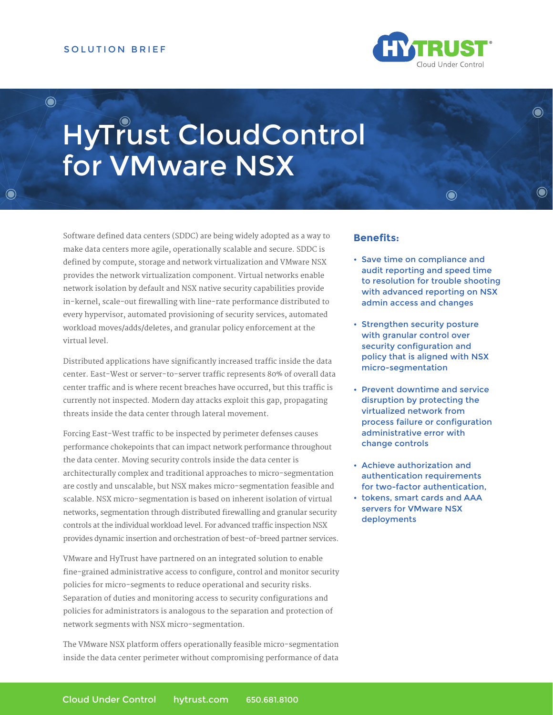$\ddot{\bullet}$ 



 $\bigcirc$ 

 $\odot$ 

# HyTrust CloudControl for VMware NSX

Software defined data centers (SDDC) are being widely adopted as a way to make data centers more agile, operationally scalable and secure. SDDC is defined by compute, storage and network virtualization and VMware NSX provides the network virtualization component. Virtual networks enable network isolation by default and NSX native security capabilities provide in-kernel, scale-out firewalling with line-rate performance distributed to every hypervisor, automated provisioning of security services, automated workload moves/adds/deletes, and granular policy enforcement at the virtual level.

Distributed applications have significantly increased traffic inside the data center. East-West or server-to-server traffic represents 80% of overall data center traffic and is where recent breaches have occurred, but this traffic is currently not inspected. Modern day attacks exploit this gap, propagating threats inside the data center through lateral movement.

Forcing East-West traffic to be inspected by perimeter defenses causes performance chokepoints that can impact network performance throughout the data center. Moving security controls inside the data center is architecturally complex and traditional approaches to micro-segmentation are costly and unscalable, but NSX makes micro-segmentation feasible and scalable. NSX micro-segmentation is based on inherent isolation of virtual networks, segmentation through distributed firewalling and granular security controls at the individual workload level. For advanced traffic inspection NSX provides dynamic insertion and orchestration of best-of-breed partner services.

VMware and HyTrust have partnered on an integrated solution to enable fine-grained administrative access to configure, control and monitor security policies for micro-segments to reduce operational and security risks. Separation of duties and monitoring access to security configurations and policies for administrators is analogous to the separation and protection of network segments with NSX micro-segmentation.

The VMware NSX platform offers operationally feasible micro-segmentation inside the data center perimeter without compromising performance of data

#### **Benefits:**

• Save time on compliance and audit reporting and speed time to resolution for trouble shooting with advanced reporting on NSX admin access and changes

 $\odot$ 

- Strengthen security posture with granular control over security configuration and policy that is aligned with NSX micro-segmentation
- Prevent downtime and service disruption by protecting the virtualized network from process failure or configuration administrative error with change controls
- Achieve authorization and authentication requirements for two-factor authentication,
- tokens, smart cards and AAA servers for VMware NSX deployments